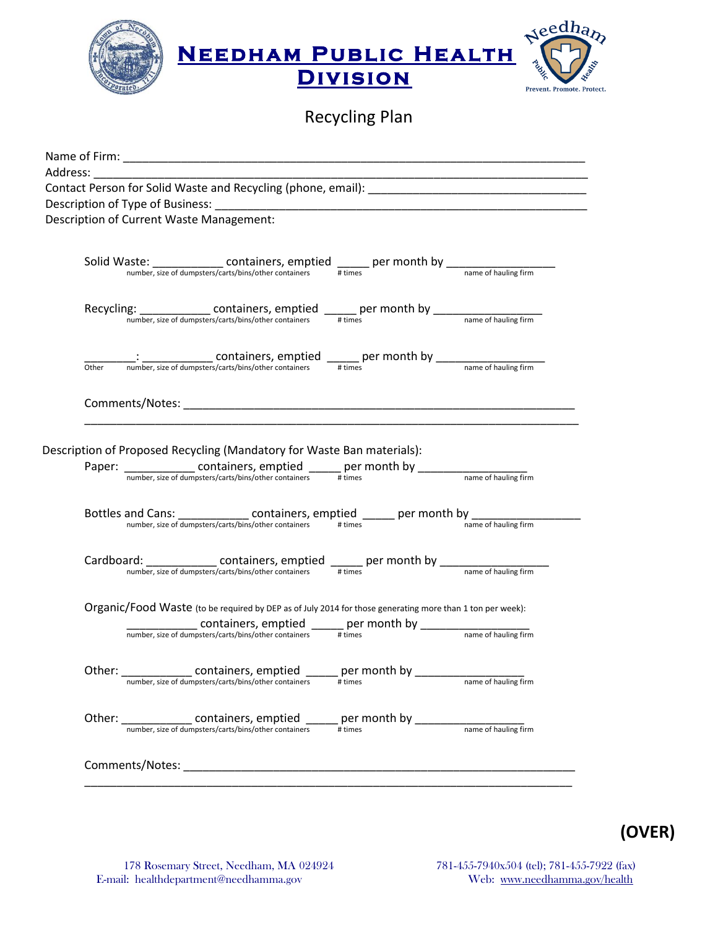

Recycling Plan

|       | <b>Description of Current Waste Management:</b>                                                                                                                                                                                                               |  |
|-------|---------------------------------------------------------------------------------------------------------------------------------------------------------------------------------------------------------------------------------------------------------------|--|
|       |                                                                                                                                                                                                                                                               |  |
|       |                                                                                                                                                                                                                                                               |  |
|       | Solid Waste: containers, emptied $\frac{1}{\# \text{times}}$ per month by $\frac{1}{\# \text{times}}$                                                                                                                                                         |  |
|       |                                                                                                                                                                                                                                                               |  |
|       |                                                                                                                                                                                                                                                               |  |
|       |                                                                                                                                                                                                                                                               |  |
|       |                                                                                                                                                                                                                                                               |  |
|       |                                                                                                                                                                                                                                                               |  |
| Other |                                                                                                                                                                                                                                                               |  |
|       |                                                                                                                                                                                                                                                               |  |
|       |                                                                                                                                                                                                                                                               |  |
|       |                                                                                                                                                                                                                                                               |  |
|       |                                                                                                                                                                                                                                                               |  |
|       | Description of Proposed Recycling (Mandatory for Waste Ban materials):                                                                                                                                                                                        |  |
|       |                                                                                                                                                                                                                                                               |  |
|       |                                                                                                                                                                                                                                                               |  |
|       | Bottles and Cans: containers, emptied _____ per month by number, size of dumpsters/carts/bins/other containers # times                                                                                                                                        |  |
|       |                                                                                                                                                                                                                                                               |  |
|       |                                                                                                                                                                                                                                                               |  |
|       | Cardboard: $\frac{\text{contained}}{\text{number size of dumesters/carts/bins/other containers}}$ emptied $\frac{\text{prime}}{\text{times}}$ per month by $\frac{\text{number size of dumesters/carts/bins/other containers}}{\text{name of handling firm}}$ |  |
|       |                                                                                                                                                                                                                                                               |  |
|       |                                                                                                                                                                                                                                                               |  |
|       | Organic/Food Waste (to be required by DEP as of July 2014 for those generating more than 1 ton per week):                                                                                                                                                     |  |
|       |                                                                                                                                                                                                                                                               |  |
|       |                                                                                                                                                                                                                                                               |  |
|       |                                                                                                                                                                                                                                                               |  |
|       |                                                                                                                                                                                                                                                               |  |
|       |                                                                                                                                                                                                                                                               |  |
|       |                                                                                                                                                                                                                                                               |  |
|       |                                                                                                                                                                                                                                                               |  |
|       |                                                                                                                                                                                                                                                               |  |
|       |                                                                                                                                                                                                                                                               |  |
|       |                                                                                                                                                                                                                                                               |  |